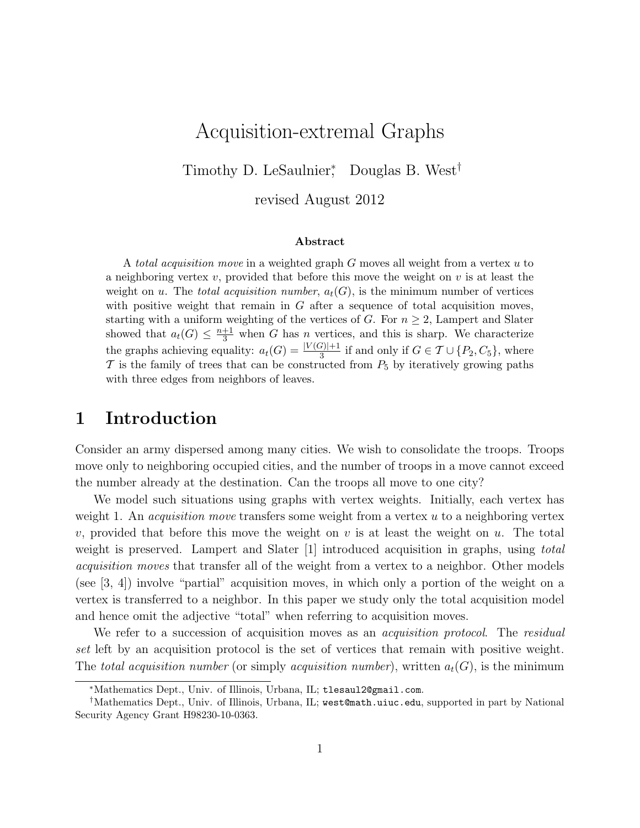# Acquisition-extremal Graphs

Timothy D. LeSaulnier<sup>\*</sup>, Douglas B. West<sup>†</sup>

revised August 2012

#### Abstract

A total acquisition move in a weighted graph G moves all weight from a vertex u to a neighboring vertex v, provided that before this move the weight on v is at least the weight on u. The total acquisition number,  $a_t(G)$ , is the minimum number of vertices with positive weight that remain in  $G$  after a sequence of total acquisition moves, starting with a uniform weighting of the vertices of G. For  $n \geq 2$ , Lampert and Slater showed that  $a_t(G) \leq \frac{n+1}{3}$  when G has n vertices, and this is sharp. We characterize the graphs achieving equality:  $a_t(G) = \frac{|V(G)|+1}{3}$  if and only if  $G \in \mathcal{T} \cup \{P_2, C_5\}$ , where  $\mathcal T$  is the family of trees that can be constructed from  $P_5$  by iteratively growing paths with three edges from neighbors of leaves.

## 1 Introduction

Consider an army dispersed among many cities. We wish to consolidate the troops. Troops move only to neighboring occupied cities, and the number of troops in a move cannot exceed the number already at the destination. Can the troops all move to one city?

We model such situations using graphs with vertex weights. Initially, each vertex has weight 1. An *acquisition move* transfers some weight from a vertex  $u$  to a neighboring vertex v, provided that before this move the weight on v is at least the weight on u. The total weight is preserved. Lampert and Slater [1] introduced acquisition in graphs, using *total* acquisition moves that transfer all of the weight from a vertex to a neighbor. Other models (see [3, 4]) involve "partial" acquisition moves, in which only a portion of the weight on a vertex is transferred to a neighbor. In this paper we study only the total acquisition model and hence omit the adjective "total" when referring to acquisition moves.

We refer to a succession of acquisition moves as an *acquisition protocol*. The residual set left by an acquisition protocol is the set of vertices that remain with positive weight. The total acquisition number (or simply acquisition number), written  $a_t(G)$ , is the minimum

<sup>∗</sup>Mathematics Dept., Univ. of Illinois, Urbana, IL; tlesaul2@gmail.com.

<sup>†</sup>Mathematics Dept., Univ. of Illinois, Urbana, IL; west@math.uiuc.edu, supported in part by National Security Agency Grant H98230-10-0363.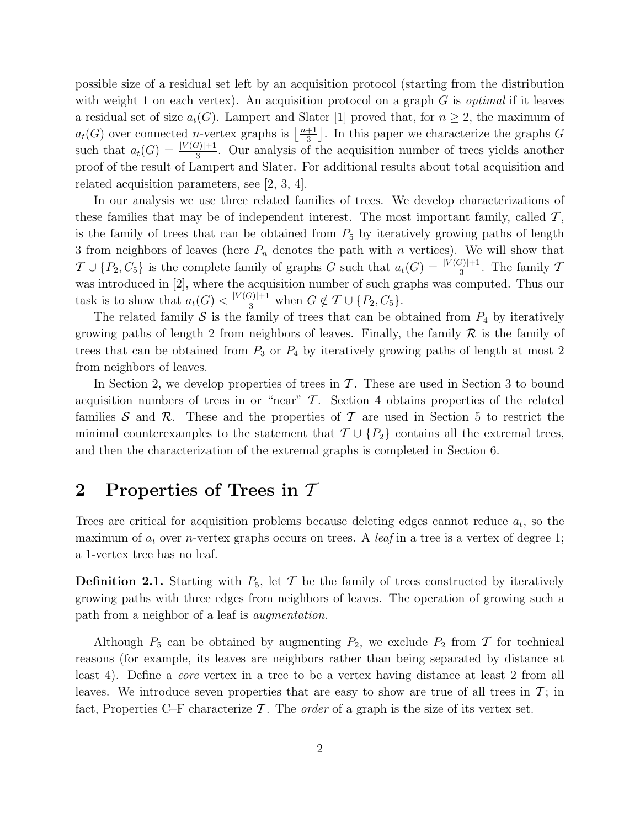possible size of a residual set left by an acquisition protocol (starting from the distribution with weight 1 on each vertex). An acquisition protocol on a graph  $G$  is *optimal* if it leaves a residual set of size  $a_t(G)$ . Lampert and Slater [1] proved that, for  $n \geq 2$ , the maximum of  $a_t(G)$  over connected *n*-vertex graphs is  $\frac{n+1}{3}$  $\frac{+1}{3}$ . In this paper we characterize the graphs G such that  $a_t(G) = \frac{|V(G)|+1}{3}$ . Our analysis of the acquisition number of trees yields another proof of the result of Lampert and Slater. For additional results about total acquisition and related acquisition parameters, see [2, 3, 4].

In our analysis we use three related families of trees. We develop characterizations of these families that may be of independent interest. The most important family, called  $\mathcal{T}$ , is the family of trees that can be obtained from  $P_5$  by iteratively growing paths of length 3 from neighbors of leaves (here  $P_n$  denotes the path with n vertices). We will show that  $\mathcal{T} \cup \{P_2, C_5\}$  is the complete family of graphs G such that  $a_t(G) = \frac{|V(G)|+1}{3}$ . The family T was introduced in [2], where the acquisition number of such graphs was computed. Thus our task is to show that  $a_t(G) < \frac{|V(G)|+1}{3}$  when  $G \notin \mathcal{T} \cup \{P_2, C_5\}.$ 

The related family S is the family of trees that can be obtained from  $P_4$  by iteratively growing paths of length 2 from neighbors of leaves. Finally, the family  $\mathcal R$  is the family of trees that can be obtained from  $P_3$  or  $P_4$  by iteratively growing paths of length at most 2 from neighbors of leaves.

In Section 2, we develop properties of trees in  $\mathcal T$ . These are used in Section 3 to bound acquisition numbers of trees in or "near"  $\mathcal T$ . Section 4 obtains properties of the related families S and R. These and the properties of T are used in Section 5 to restrict the minimal counterexamples to the statement that  $\mathcal{T} \cup \{P_2\}$  contains all the extremal trees, and then the characterization of the extremal graphs is completed in Section 6.

# 2 Properties of Trees in T

Trees are critical for acquisition problems because deleting edges cannot reduce  $a_t$ , so the maximum of  $a_t$  over *n*-vertex graphs occurs on trees. A *leaf* in a tree is a vertex of degree 1; a 1-vertex tree has no leaf.

**Definition 2.1.** Starting with  $P_5$ , let  $\mathcal T$  be the family of trees constructed by iteratively growing paths with three edges from neighbors of leaves. The operation of growing such a path from a neighbor of a leaf is augmentation.

Although  $P_5$  can be obtained by augmenting  $P_2$ , we exclude  $P_2$  from T for technical reasons (for example, its leaves are neighbors rather than being separated by distance at least 4). Define a core vertex in a tree to be a vertex having distance at least 2 from all leaves. We introduce seven properties that are easy to show are true of all trees in  $\mathcal{T}$ ; in fact, Properties C–F characterize  $\mathcal T$ . The *order* of a graph is the size of its vertex set.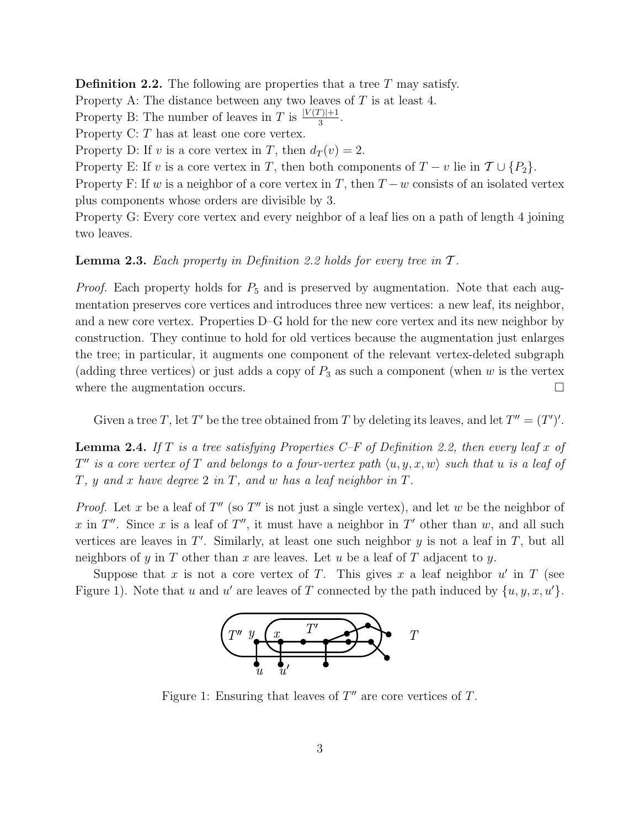**Definition 2.2.** The following are properties that a tree  $T$  may satisfy.

Property A: The distance between any two leaves of  $T$  is at least 4.

Property B: The number of leaves in T is  $\frac{|V(T)|+1}{3}$ .

Property C: T has at least one core vertex.

Property D: If v is a core vertex in T, then  $d_T(v) = 2$ .

Property E: If v is a core vertex in T, then both components of  $T - v$  lie in  $\mathcal{T} \cup \{P_2\}$ .

Property F: If w is a neighbor of a core vertex in T, then  $T - w$  consists of an isolated vertex plus components whose orders are divisible by 3.

Property G: Every core vertex and every neighbor of a leaf lies on a path of length 4 joining two leaves.

#### **Lemma 2.3.** Each property in Definition 2.2 holds for every tree in  $T$ .

*Proof.* Each property holds for  $P_5$  and is preserved by augmentation. Note that each augmentation preserves core vertices and introduces three new vertices: a new leaf, its neighbor, and a new core vertex. Properties D–G hold for the new core vertex and its new neighbor by construction. They continue to hold for old vertices because the augmentation just enlarges the tree; in particular, it augments one component of the relevant vertex-deleted subgraph (adding three vertices) or just adds a copy of  $P_3$  as such a component (when w is the vertex where the augmentation occurs.  $\Box$ 

Given a tree T, let T' be the tree obtained from T by deleting its leaves, and let  $T'' = (T')'.$ 

**Lemma 2.4.** If T is a tree satisfying Properties C–F of Definition 2.2, then every leaf x of  $T''$  is a core vertex of T and belongs to a four-vertex path  $\langle u, y, x, w \rangle$  such that u is a leaf of  $T$ ,  $y$  and  $x$  have degree 2 in  $T$ , and  $w$  has a leaf neighbor in  $T$ .

*Proof.* Let x be a leaf of  $T''$  (so  $T''$  is not just a single vertex), and let w be the neighbor of x in T''. Since x is a leaf of T'', it must have a neighbor in T' other than w, and all such vertices are leaves in  $T'$ . Similarly, at least one such neighbor  $y$  is not a leaf in  $T$ , but all neighbors of y in T other than x are leaves. Let u be a leaf of T adjacent to y.

Suppose that x is not a core vertex of T. This gives x a leaf neighbor  $u'$  in T (see Figure 1). Note that u and u' are leaves of T connected by the path induced by  $\{u, y, x, u'\}.$ 



Figure 1: Ensuring that leaves of  $T''$  are core vertices of  $T$ .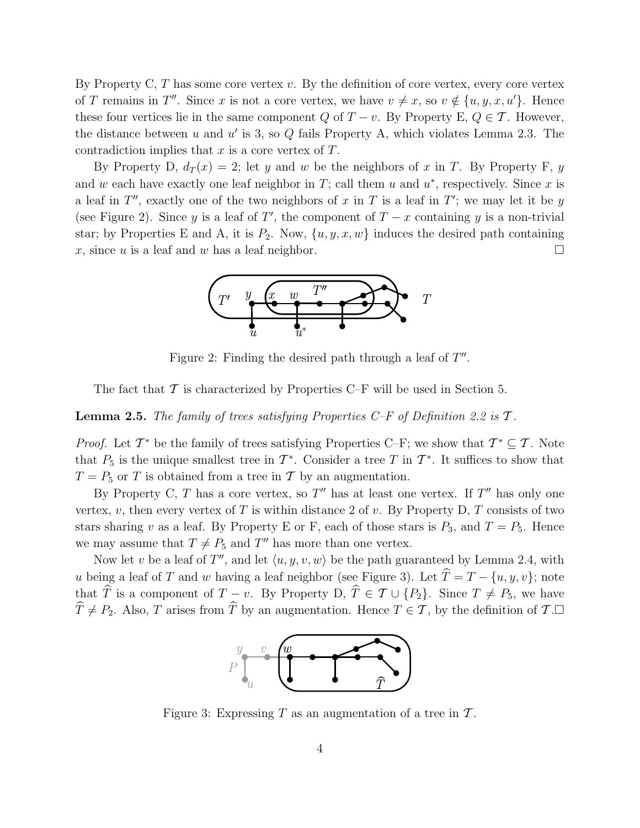By Property C,  $T$  has some core vertex  $v$ . By the definition of core vertex, every core vertex of T remains in T''. Since x is not a core vertex, we have  $v \neq x$ , so  $v \notin \{u, y, x, u'\}$ . Hence these four vertices lie in the same component Q of  $T - v$ . By Property E,  $Q \in \mathcal{T}$ . However, the distance between  $u$  and  $u'$  is 3, so  $Q$  fails Property A, which violates Lemma 2.3. The contradiction implies that  $x$  is a core vertex of  $T$ .

By Property D,  $d_T(x) = 2$ ; let y and w be the neighbors of x in T. By Property F, y and w each have exactly one leaf neighbor in  $T$ ; call them u and  $u^*$ , respectively. Since x is a leaf in  $T''$ , exactly one of the two neighbors of x in T is a leaf in  $T'$ ; we may let it be y (see Figure 2). Since y is a leaf of T', the component of  $T - x$  containing y is a non-trivial star; by Properties E and A, it is  $P_2$ . Now,  $\{u, y, x, w\}$  induces the desired path containing x, since u is a leaf and w has a leaf neighbor.



Figure 2: Finding the desired path through a leaf of  $T''$ .

The fact that  $\mathcal T$  is characterized by Properties C–F will be used in Section 5.

**Lemma 2.5.** The family of trees satisfying Properties C–F of Definition 2.2 is  $\mathcal{T}$ .

*Proof.* Let  $\mathcal{T}^*$  be the family of trees satisfying Properties C–F; we show that  $\mathcal{T}^* \subseteq \mathcal{T}$ . Note that  $P_5$  is the unique smallest tree in  $\mathcal{T}^*$ . Consider a tree T in  $\mathcal{T}^*$ . It suffices to show that  $T = P_5$  or T is obtained from a tree in T by an augmentation.

By Property C, T has a core vertex, so  $T''$  has at least one vertex. If  $T''$  has only one vertex, v, then every vertex of T is within distance 2 of v. By Property D, T consists of two stars sharing v as a leaf. By Property E or F, each of those stars is  $P_3$ , and  $T = P_5$ . Hence we may assume that  $T \neq P_5$  and  $T''$  has more than one vertex.

Now let v be a leaf of T'', and let  $\langle u, y, v, w \rangle$  be the path guaranteed by Lemma 2.4, with u being a leaf of T and w having a leaf neighbor (see Figure 3). Let  $\hat{T} = T - \{u, y, v\}$ ; note that T is a component of  $T - v$ . By Property D,  $T \in \mathcal{T} \cup \{P_2\}$ . Since  $T \neq P_5$ , we have  $\widehat{T} \neq P_2$ . Also, T arises from  $\widehat{T}$  by an augmentation. Hence  $T \in \mathcal{T}$ , by the definition of  $\mathcal{T}$ .



Figure 3: Expressing T as an augmentation of a tree in  $\mathcal{T}$ .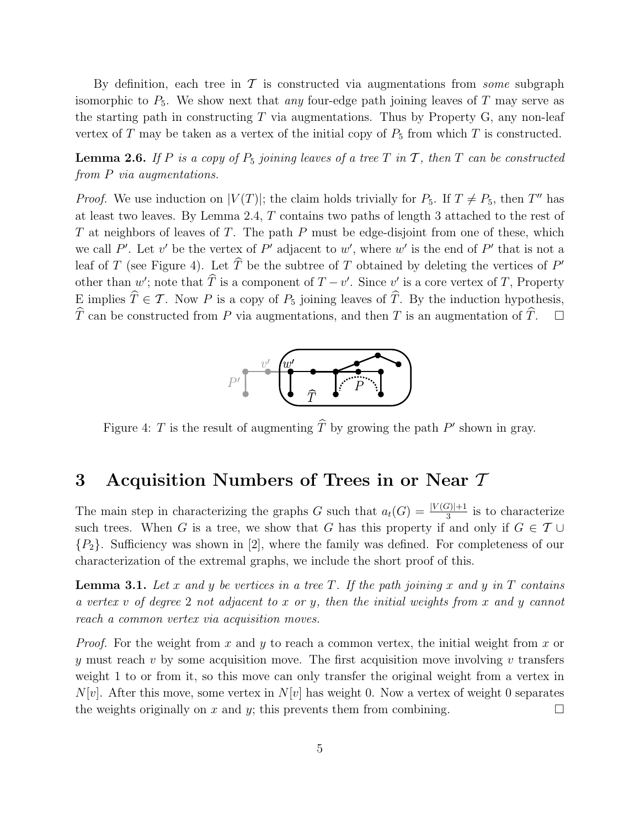By definition, each tree in  $\mathcal T$  is constructed via augmentations from *some* subgraph isomorphic to  $P_5$ . We show next that any four-edge path joining leaves of T may serve as the starting path in constructing  $T$  via augmentations. Thus by Property G, any non-leaf vertex of T may be taken as a vertex of the initial copy of  $P_5$  from which T is constructed.

**Lemma 2.6.** If P is a copy of  $P_5$  joining leaves of a tree T in T, then T can be constructed from P via augmentations.

*Proof.* We use induction on  $|V(T)|$ ; the claim holds trivially for  $P_5$ . If  $T \neq P_5$ , then T'' has at least two leaves. By Lemma 2.4, T contains two paths of length 3 attached to the rest of T at neighbors of leaves of T. The path  $P$  must be edge-disjoint from one of these, which we call P'. Let v' be the vertex of P' adjacent to w', where w' is the end of P' that is not a leaf of T (see Figure 4). Let  $\hat{T}$  be the subtree of T obtained by deleting the vertices of P' other than  $w'$ ; note that  $\hat{T}$  is a component of  $T - v'$ . Since  $v'$  is a core vertex of  $T$ , Property E implies  $\widehat{T} \in \mathcal{T}$ . Now P is a copy of  $P_5$  joining leaves of  $\widehat{T}$ . By the induction hypothesis,  $\widehat{T}$  can be constructed from P via augmentations, and then T is an augmentation of  $\widehat{T}$ .  $\widehat{T}$  can be constructed from P via augmentations, and then T is an augmentation of  $\widehat{T}$ .



Figure 4: T is the result of augmenting  $\hat{T}$  by growing the path  $P'$  shown in gray.

# 3 Acquisition Numbers of Trees in or Near  $\mathcal T$

The main step in characterizing the graphs G such that  $a_t(G) = \frac{|V(G)|+1}{3}$  is to characterize such trees. When G is a tree, we show that G has this property if and only if  $G \in \mathcal{T} \cup$  ${P_2}$ . Sufficiency was shown in [2], where the family was defined. For completeness of our characterization of the extremal graphs, we include the short proof of this.

**Lemma 3.1.** Let x and y be vertices in a tree T. If the path joining x and y in T contains a vertex v of degree 2 not adjacent to x or y, then the initial weights from x and y cannot reach a common vertex via acquisition moves.

*Proof.* For the weight from x and y to reach a common vertex, the initial weight from x or y must reach v by some acquisition move. The first acquisition move involving v transfers weight 1 to or from it, so this move can only transfer the original weight from a vertex in  $N[v]$ . After this move, some vertex in  $N[v]$  has weight 0. Now a vertex of weight 0 separates the weights originally on x and y; this prevents them from combining.  $\Box$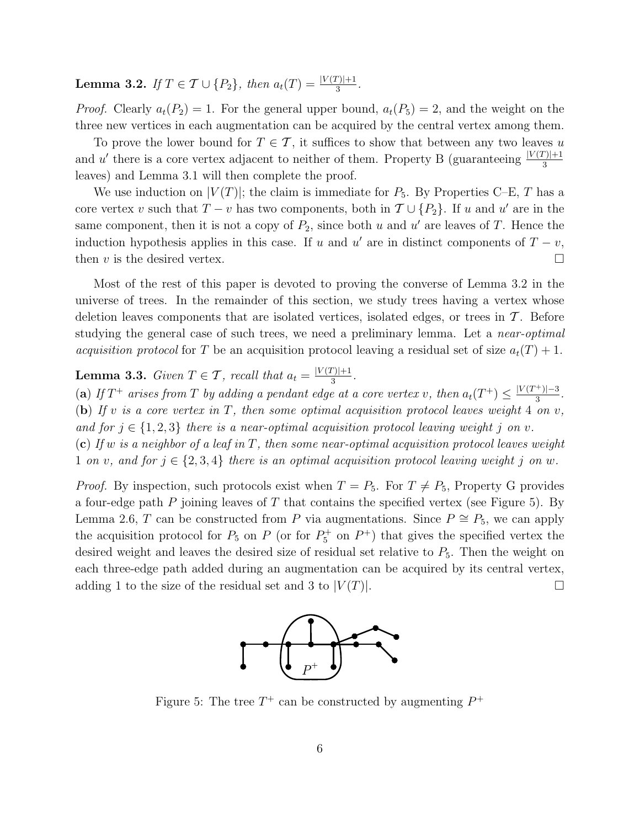**Lemma 3.2.** If  $T \in \mathcal{T} \cup \{P_2\}$ , then  $a_t(T) = \frac{|V(T)|+1}{3}$ .

*Proof.* Clearly  $a_t(P_2) = 1$ . For the general upper bound,  $a_t(P_5) = 2$ , and the weight on the three new vertices in each augmentation can be acquired by the central vertex among them.

To prove the lower bound for  $T \in \mathcal{T}$ , it suffices to show that between any two leaves u and u' there is a core vertex adjacent to neither of them. Property B (guaranteeing  $\frac{|V(T)|+1}{3}$ leaves) and Lemma 3.1 will then complete the proof.

We use induction on  $|V(T)|$ ; the claim is immediate for  $P_5$ . By Properties C–E, T has a core vertex v such that  $T - v$  has two components, both in  $T \cup \{P_2\}$ . If u and u' are in the same component, then it is not a copy of  $P_2$ , since both u and u' are leaves of T. Hence the induction hypothesis applies in this case. If u and u' are in distinct components of  $T - v$ , then  $v$  is the desired vertex.  $\Box$ 

Most of the rest of this paper is devoted to proving the converse of Lemma 3.2 in the universe of trees. In the remainder of this section, we study trees having a vertex whose deletion leaves components that are isolated vertices, isolated edges, or trees in  $\mathcal T$ . Before studying the general case of such trees, we need a preliminary lemma. Let a *near-optimal acquisition protocol* for T be an acquisition protocol leaving a residual set of size  $a_t(T) + 1$ .

**Lemma 3.3.** Given  $T \in \mathcal{T}$ , recall that  $a_t = \frac{|V(T)|+1}{3}$  $rac{|1|+1}{3}$ .

(a) If  $T^+$  arises from T by adding a pendant edge at a core vertex v, then  $a_t(T^+) \leq \frac{|V(T^+)|-3}{3}$  $\frac{|1|^{-3}}{3}$ . (b) If v is a core vertex in T, then some optimal acquisition protocol leaves weight 4 on v, and for  $j \in \{1,2,3\}$  there is a near-optimal acquisition protocol leaving weight j on v. (c) If w is a neighbor of a leaf in T, then some near-optimal acquisition protocol leaves weight 1 on v, and for  $j \in \{2, 3, 4\}$  there is an optimal acquisition protocol leaving weight j on w.

*Proof.* By inspection, such protocols exist when  $T = P_5$ . For  $T \neq P_5$ , Property G provides a four-edge path  $P$  joining leaves of  $T$  that contains the specified vertex (see Figure 5). By Lemma 2.6, T can be constructed from P via augmentations. Since  $P \cong P_5$ , we can apply the acquisition protocol for  $P_5$  on P (or for  $P_5^+$  on  $P^+$ ) that gives the specified vertex the desired weight and leaves the desired size of residual set relative to  $P_5$ . Then the weight on each three-edge path added during an augmentation can be acquired by its central vertex, adding 1 to the size of the residual set and 3 to  $|V(T)|$ .



Figure 5: The tree  $T^+$  can be constructed by augmenting  $P^+$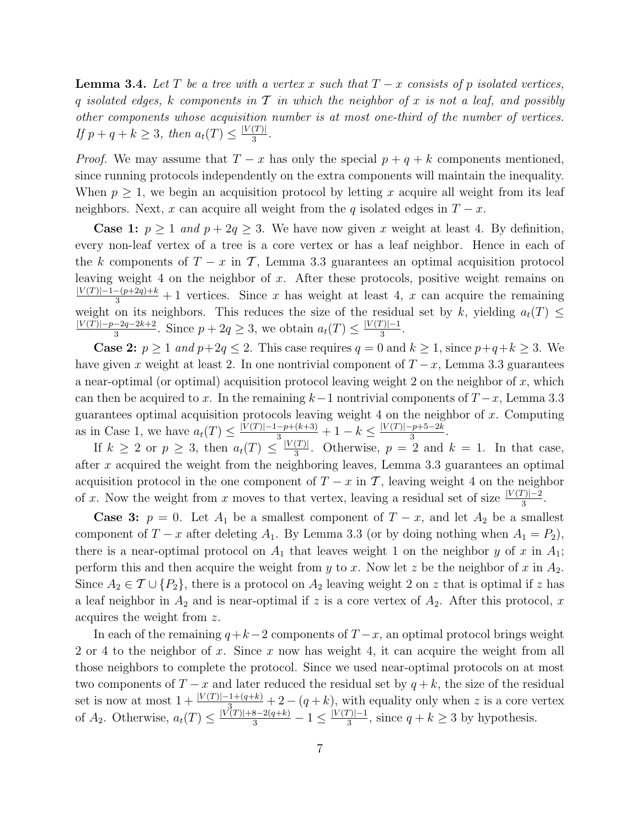**Lemma 3.4.** Let T be a tree with a vertex x such that  $T - x$  consists of p isolated vertices, q isolated edges, k components in  $T$  in which the neighbor of x is not a leaf, and possibly other components whose acquisition number is at most one-third of the number of vertices. If  $p + q + k \geq 3$ , then  $a_t(T) \leq \frac{|V(T)|}{3}$  $rac{(1)}{3}$ .

*Proof.* We may assume that  $T - x$  has only the special  $p + q + k$  components mentioned, since running protocols independently on the extra components will maintain the inequality. When  $p \geq 1$ , we begin an acquisition protocol by letting x acquire all weight from its leaf neighbors. Next, x can acquire all weight from the q isolated edges in  $T - x$ .

**Case 1:**  $p \ge 1$  and  $p + 2q \ge 3$ . We have now given x weight at least 4. By definition, every non-leaf vertex of a tree is a core vertex or has a leaf neighbor. Hence in each of the k components of  $T - x$  in T, Lemma 3.3 guarantees an optimal acquisition protocol leaving weight 4 on the neighbor of x. After these protocols, positive weight remains on  $\frac{|V(T)|-1-(p+2q)+k}{3}+1$  vertices. Since x has weight at least 4, x can acquire the remaining weight on its neighbors. This reduces the size of the residual set by k, yielding  $a_t(T) \leq$  $|V(T)|-p-2q-2k+2$  $\frac{-2q-2k+2}{3}$ . Since  $p+2q \geq 3$ , we obtain  $a_t(T) \leq \frac{|V(T)|-1}{3}$  $rac{|y|-1}{3}$ .

**Case 2:**  $p \ge 1$  and  $p+2q \le 2$ . This case requires  $q = 0$  and  $k \ge 1$ , since  $p+q+k \ge 3$ . We have given x weight at least 2. In one nontrivial component of  $T-x$ , Lemma 3.3 guarantees a near-optimal (or optimal) acquisition protocol leaving weight 2 on the neighbor of  $x$ , which can then be acquired to x. In the remaining  $k-1$  nontrivial components of  $T-x$ , Lemma 3.3 guarantees optimal acquisition protocols leaving weight  $4$  on the neighbor of  $x$ . Computing as in Case 1, we have  $a_t(T) \leq \frac{|V(T)|-1-p+(k+3)}{3} + 1 - k \leq \frac{|V(T)|-p+5-2k}{3}$  $\frac{-p+3-2\kappa}{3}.$ 

If  $k \geq 2$  or  $p \geq 3$ , then  $a_t(T) \leq \frac{|V(T)|}{3}$  $\frac{(I)}{3}$ . Otherwise,  $p = 2$  and  $k = 1$ . In that case, after x acquired the weight from the neighboring leaves, Lemma 3.3 guarantees an optimal acquisition protocol in the one component of  $T - x$  in T, leaving weight 4 on the neighbor of x. Now the weight from x moves to that vertex, leaving a residual set of size  $\frac{|V(T)|-2}{3}$ .

**Case 3:**  $p = 0$ . Let  $A_1$  be a smallest component of  $T - x$ , and let  $A_2$  be a smallest component of  $T - x$  after deleting  $A_1$ . By Lemma 3.3 (or by doing nothing when  $A_1 = P_2$ ), there is a near-optimal protocol on  $A_1$  that leaves weight 1 on the neighbor y of x in  $A_1$ ; perform this and then acquire the weight from y to x. Now let z be the neighbor of x in  $A_2$ . Since  $A_2 \in \mathcal{T} \cup \{P_2\}$ , there is a protocol on  $A_2$  leaving weight 2 on z that is optimal if z has a leaf neighbor in  $A_2$  and is near-optimal if z is a core vertex of  $A_2$ . After this protocol, x acquires the weight from z.

In each of the remaining  $q+k-2$  components of  $T-x$ , an optimal protocol brings weight 2 or 4 to the neighbor of x. Since x now has weight 4, it can acquire the weight from all those neighbors to complete the protocol. Since we used near-optimal protocols on at most two components of  $T - x$  and later reduced the residual set by  $q + k$ , the size of the residual set is now at most  $1 + \frac{|V(T)| - 1 + (q+k)}{3} + 2 - (q+k)$ , with equality only when z is a core vertex of  $A_2$ . Otherwise,  $a_t(T) \leq \frac{|V(T)| + 8 - 2(q+k)}{3} - 1 \leq \frac{|V(T)| - 1}{3}$  $\frac{[r]}{3}$ , since  $q + k \geq 3$  by hypothesis.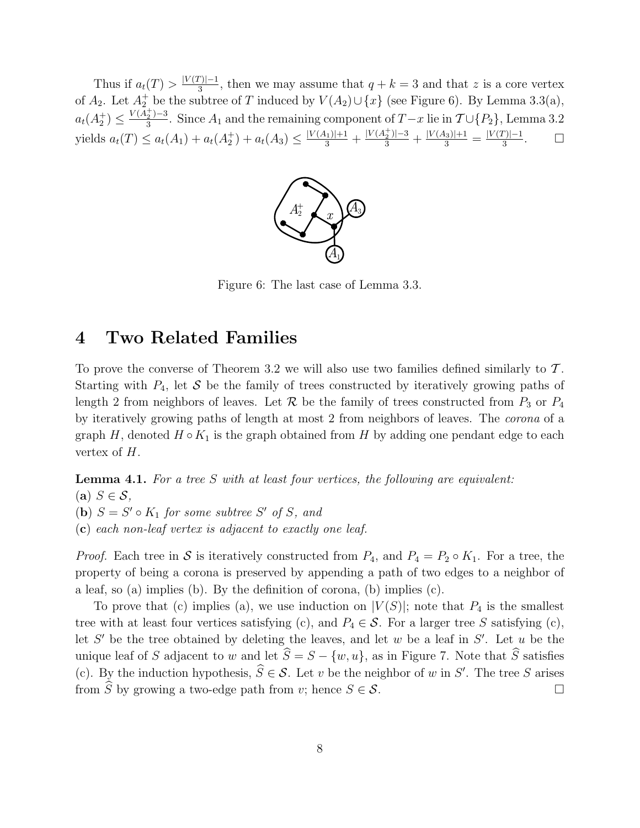Thus if  $a_t(T) > \frac{|V(T)|-1}{3}$  $\frac{f(y)-1}{3}$ , then we may assume that  $q+k=3$  and that z is a core vertex of  $A_2$ . Let  $A_2^+$  be the subtree of T induced by  $V(A_2) \cup \{x\}$  (see Figure 6). By Lemma 3.3(a),  $a_t(A_2^+) \leq \frac{V(A_2^+)-3}{3}$  $\frac{2^{j-3}}{3}$ . Since  $A_1$  and the remaining component of  $T-x$  lie in  $\mathcal{T} \cup \{P_2\}$ , Lemma 3.2 yields  $a_t(T) \le a_t(A_1) + a_t(A_2^+) + a_t(A_3) \le \frac{|V(A_1)|+1}{3} + \frac{|V(A_2^+)|-3}{3} + \frac{|V(A_3)|+1}{3} = \frac{|V(T)|-1}{3}$ 3  $\Box$ 



Figure 6: The last case of Lemma 3.3.

### 4 Two Related Families

To prove the converse of Theorem 3.2 we will also use two families defined similarly to  $\mathcal T$ . Starting with  $P_4$ , let S be the family of trees constructed by iteratively growing paths of length 2 from neighbors of leaves. Let  $\mathcal R$  be the family of trees constructed from  $P_3$  or  $P_4$ by iteratively growing paths of length at most 2 from neighbors of leaves. The corona of a graph H, denoted  $H \circ K_1$  is the graph obtained from H by adding one pendant edge to each vertex of  $H$ .

**Lemma 4.1.** For a tree S with at least four vertices, the following are equivalent: (a)  $S \in \mathcal{S}$ , (**b**)  $S = S' \circ K_1$  for some subtree S' of S, and (c) each non-leaf vertex is adjacent to exactly one leaf.

*Proof.* Each tree in S is iteratively constructed from  $P_4$ , and  $P_4 = P_2 \circ K_1$ . For a tree, the property of being a corona is preserved by appending a path of two edges to a neighbor of a leaf, so (a) implies (b). By the definition of corona, (b) implies (c).

To prove that (c) implies (a), we use induction on  $|V(S)|$ ; note that  $P_4$  is the smallest tree with at least four vertices satisfying (c), and  $P_4 \in \mathcal{S}$ . For a larger tree S satisfying (c), let  $S'$  be the tree obtained by deleting the leaves, and let w be a leaf in  $S'$ . Let u be the unique leaf of S adjacent to w and let  $\hat{S} = S - \{w, u\}$ , as in Figure 7. Note that  $\hat{S}$  satisfies (c). By the induction hypothesis,  $\hat{S} \in \mathcal{S}$ . Let v be the neighbor of w in S'. The tree S arises from  $\widehat{S}$  by growing a two-edge path from v; hence  $S \in \mathcal{S}$ .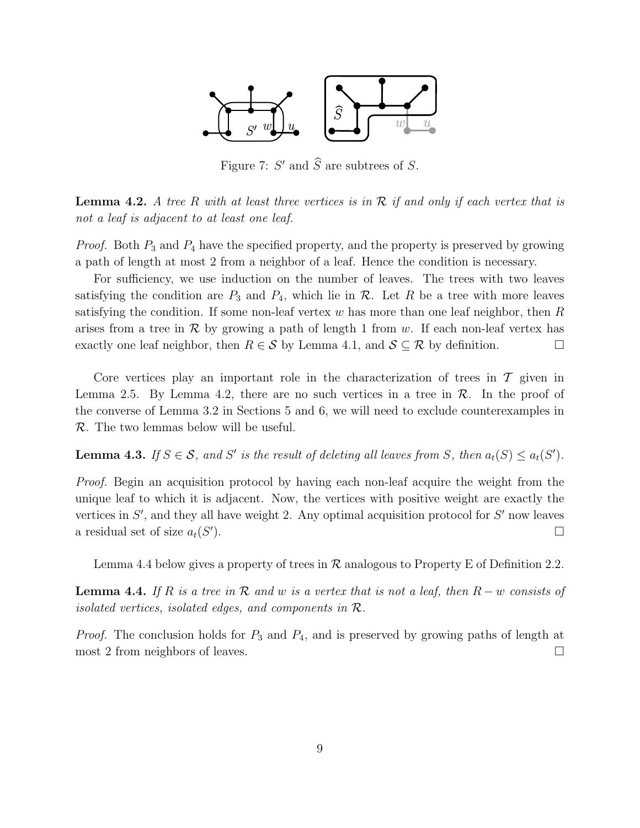

Figure 7:  $S'$  and  $\widehat{S}$  are subtrees of  $S$ .

**Lemma 4.2.** A tree R with at least three vertices is in  $\mathcal{R}$  if and only if each vertex that is not a leaf is adjacent to at least one leaf.

*Proof.* Both  $P_3$  and  $P_4$  have the specified property, and the property is preserved by growing a path of length at most 2 from a neighbor of a leaf. Hence the condition is necessary.

For sufficiency, we use induction on the number of leaves. The trees with two leaves satisfying the condition are  $P_3$  and  $P_4$ , which lie in  $\mathcal R$ . Let R be a tree with more leaves satisfying the condition. If some non-leaf vertex w has more than one leaf neighbor, then  $R$ arises from a tree in  $\mathcal R$  by growing a path of length 1 from w. If each non-leaf vertex has exactly one leaf neighbor, then  $R \in \mathcal{S}$  by Lemma 4.1, and  $\mathcal{S} \subset \mathcal{R}$  by definition.

Core vertices play an important role in the characterization of trees in  $\mathcal T$  given in Lemma 2.5. By Lemma 4.2, there are no such vertices in a tree in  $\mathcal{R}$ . In the proof of the converse of Lemma 3.2 in Sections 5 and 6, we will need to exclude counterexamples in R. The two lemmas below will be useful.

**Lemma 4.3.** If  $S \in \mathcal{S}$ , and  $S'$  is the result of deleting all leaves from S, then  $a_t(S) \leq a_t(S')$ .

Proof. Begin an acquisition protocol by having each non-leaf acquire the weight from the unique leaf to which it is adjacent. Now, the vertices with positive weight are exactly the vertices in  $S'$ , and they all have weight 2. Any optimal acquisition protocol for  $S'$  now leaves a residual set of size  $a_t(S)$  $\Box$ 

Lemma 4.4 below gives a property of trees in  $\mathcal R$  analogous to Property E of Definition 2.2.

**Lemma 4.4.** If R is a tree in R and w is a vertex that is not a leaf, then  $R - w$  consists of isolated vertices, isolated edges, and components in  $\mathcal{R}$ .

*Proof.* The conclusion holds for  $P_3$  and  $P_4$ , and is preserved by growing paths of length at most 2 from neighbors of leaves.  $\Box$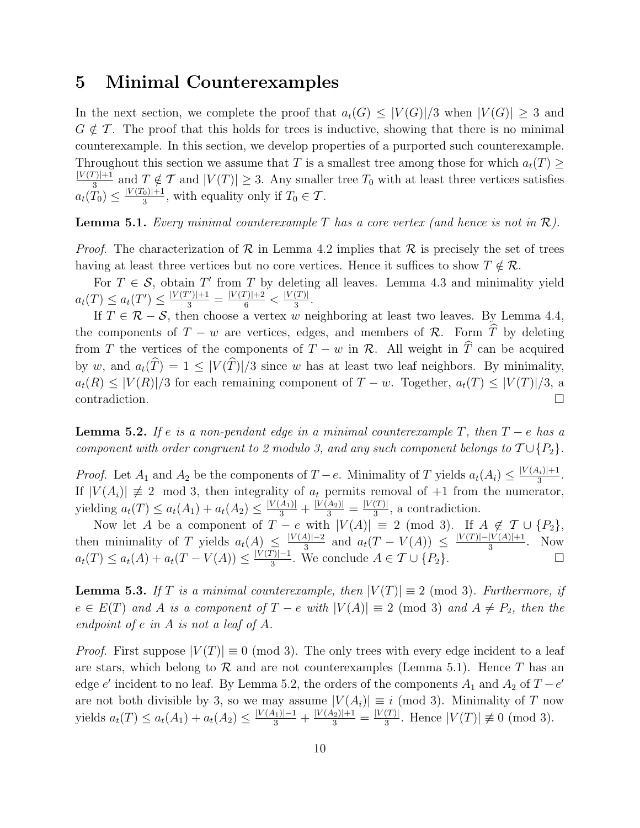### 5 Minimal Counterexamples

In the next section, we complete the proof that  $a_t(G) \leq |V(G)|/3$  when  $|V(G)| \geq 3$  and  $G \notin \mathcal{T}$ . The proof that this holds for trees is inductive, showing that there is no minimal counterexample. In this section, we develop properties of a purported such counterexample. Throughout this section we assume that T is a smallest tree among those for which  $a_t(T) \geq$  $|V(T)|+1$  $\frac{T}{3}$  and  $T \notin \mathcal{T}$  and  $|V(T)| \geq 3$ . Any smaller tree  $T_0$  with at least three vertices satisfies  $a_t(T_0) \leq \frac{|V(T_0)|+1}{3}$  $\frac{1}{3}$ , with equality only if  $T_0 \in \mathcal{T}$ .

**Lemma 5.1.** Every minimal counterexample T has a core vertex (and hence is not in  $\mathcal{R}$ ).

*Proof.* The characterization of  $\mathcal R$  in Lemma 4.2 implies that  $\mathcal R$  is precisely the set of trees having at least three vertices but no core vertices. Hence it suffices to show  $T \notin \mathcal{R}$ .

For  $T \in \mathcal{S}$ , obtain T' from T by deleting all leaves. Lemma 4.3 and minimality yield  $a_t(T) \le a_t(T') \le \frac{|V(T')|+1}{3} = \frac{|V(T)|+2}{6} < \frac{|V(T)|}{3}$  $rac{(1)}{3}$ .

If  $T \in \mathcal{R} - \mathcal{S}$ , then choose a vertex w neighboring at least two leaves. By Lemma 4.4, the components of  $T - w$  are vertices, edges, and members of  $\mathcal{R}$ . Form  $\hat{T}$  by deleting from T the vertices of the components of  $T - w$  in R. All weight in  $\hat{T}$  can be acquired by w, and  $a_t(\widehat{T}) = 1 \leq |V(\widehat{T})|/3$  since w has at least two leaf neighbors. By minimality,  $a_t(R) \leq |V(R)|/3$  for each remaining component of  $T - w$ . Together,  $a_t(T) \leq |V(T)|/3$ , a contradiction.

**Lemma 5.2.** If e is a non-pendant edge in a minimal counterexample T, then  $T - e$  has a component with order congruent to 2 modulo 3, and any such component belongs to  $T \cup \{P_2\}$ .

*Proof.* Let  $A_1$  and  $A_2$  be the components of  $T - e$ . Minimality of T yields  $a_t(A_i) \leq \frac{|V(A_i)|+1}{3}$  $rac{|I_i|+1}{3}$ . If  $|V(A_i)| \neq 2 \mod 3$ , then integrality of  $a_t$  permits removal of +1 from the numerator, yielding  $a_t(T) \le a_t(A_1) + a_t(A_2) \le \frac{|V(A_1)|}{3} + \frac{|V(A_2)|}{3} = \frac{|V(T)|}{3}$  $\frac{(T)!}{3}$ , a contradiction.

Now let A be a component of  $T - e$  with  $|V(A)| \equiv 2 \pmod{3}$ . If  $A \notin \mathcal{T} \cup \{P_2\}$ , then minimality of T yields  $a_t(A) \leq \frac{|V(A)|-2}{3}$  $\frac{4}{3}$  and  $a_t(T - V(A)) \leq \frac{|V(T)| - |V(A)| + 1}{3}$  $rac{|V(A)|+1}{3}$ . Now  $a_t(T) \le a_t(A) + a_t(T - V(A)) \le \frac{|V(T)| - 1}{3}$  $\frac{[r]-1}{3}$ . We conclude  $A \in \mathcal{T} \cup \{P_2\}.$ 

**Lemma 5.3.** If T is a minimal counterexample, then  $|V(T)| \equiv 2 \pmod{3}$ . Furthermore, if  $e \in E(T)$  and A is a component of  $T - e$  with  $|V(A)| \equiv 2 \pmod{3}$  and  $A \neq P_2$ , then the endpoint of e in A is not a leaf of A.

*Proof.* First suppose  $|V(T)| \equiv 0 \pmod{3}$ . The only trees with every edge incident to a leaf are stars, which belong to  $\mathcal R$  and are not counterexamples (Lemma 5.1). Hence T has an edge e' incident to no leaf. By Lemma 5.2, the orders of the components  $A_1$  and  $A_2$  of  $T - e'$ are not both divisible by 3, so we may assume  $|V(A_i)| \equiv i \pmod{3}$ . Minimality of T now yields  $a_t(T) \le a_t(A_1) + a_t(A_2) \le \frac{|V(A_1)| - 1}{3} + \frac{|V(A_2)| + 1}{3} = \frac{|V(T)|}{3}$  $\frac{(T)}{3}$ . Hence  $|V(T)| \not\equiv 0 \pmod{3}$ .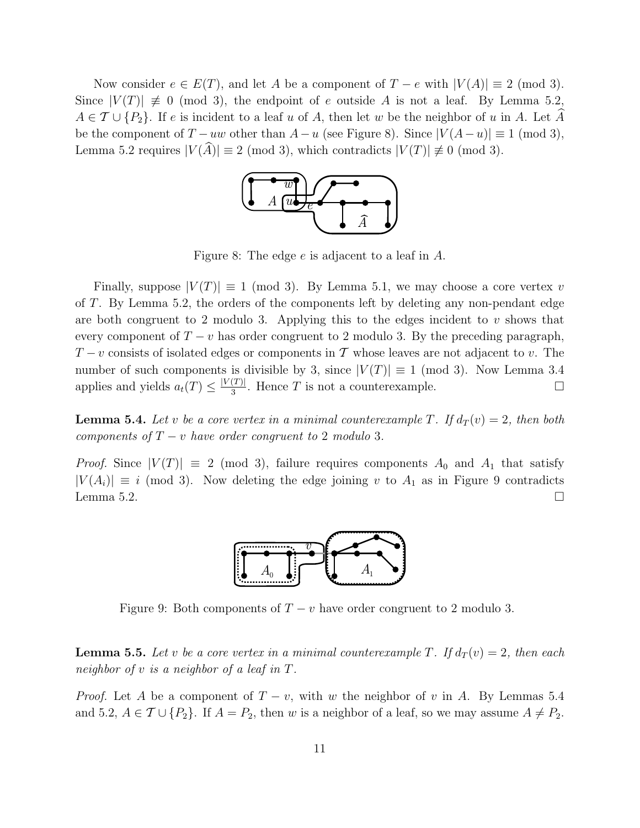Now consider  $e \in E(T)$ , and let A be a component of  $T - e$  with  $|V(A)| \equiv 2 \pmod{3}$ . Since  $|V(T)| \neq 0 \pmod{3}$ , the endpoint of e outside A is not a leaf. By Lemma 5.2,  $A \in \mathcal{T} \cup \{P_2\}.$  If e is incident to a leaf u of A, then let w be the neighbor of u in A. Let A be the component of  $T - uw$  other than  $A - u$  (see Figure 8). Since  $|V(A - u)| \equiv 1 \pmod{3}$ , Lemma 5.2 requires  $|V(\widehat{A})| \equiv 2 \pmod{3}$ , which contradicts  $|V(T)| \not\equiv 0 \pmod{3}$ .



Figure 8: The edge e is adjacent to a leaf in A.

Finally, suppose  $|V(T)| \equiv 1 \pmod{3}$ . By Lemma 5.1, we may choose a core vertex v of T. By Lemma 5.2, the orders of the components left by deleting any non-pendant edge are both congruent to 2 modulo 3. Applying this to the edges incident to  $v$  shows that every component of  $T - v$  has order congruent to 2 modulo 3. By the preceding paragraph,  $T-v$  consists of isolated edges or components in T whose leaves are not adjacent to v. The number of such components is divisible by 3, since  $|V(T)| \equiv 1 \pmod{3}$ . Now Lemma 3.4 applies and yields  $a_t(T) \leq \frac{|V(T)|}{3}$  $\frac{(T)|}{3}$ . Hence T is not a counterexample.

**Lemma 5.4.** Let v be a core vertex in a minimal counterexample T. If  $d_T(v) = 2$ , then both components of  $T - v$  have order congruent to 2 modulo 3.

*Proof.* Since  $|V(T)| \equiv 2 \pmod{3}$ , failure requires components  $A_0$  and  $A_1$  that satisfy  $|V(A_i)| \equiv i \pmod{3}$ . Now deleting the edge joining v to  $A_1$  as in Figure 9 contradicts Lemma 5.2.



Figure 9: Both components of  $T - v$  have order congruent to 2 modulo 3.

**Lemma 5.5.** Let v be a core vertex in a minimal counterexample T. If  $d_T(v) = 2$ , then each neighbor of v is a neighbor of a leaf in T.

*Proof.* Let A be a component of  $T - v$ , with w the neighbor of v in A. By Lemmas 5.4 and 5.2,  $A \in \mathcal{T} \cup \{P_2\}$ . If  $A = P_2$ , then w is a neighbor of a leaf, so we may assume  $A \neq P_2$ .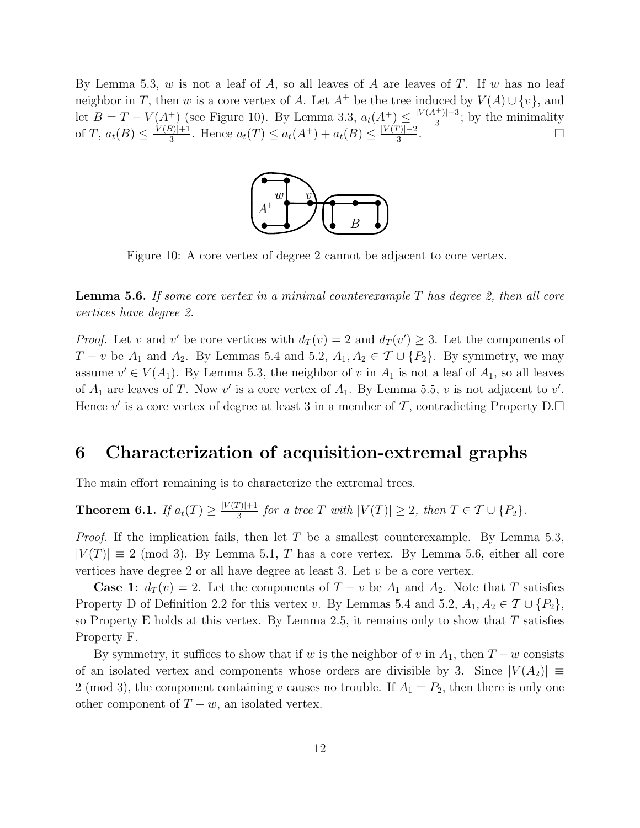By Lemma 5.3, w is not a leaf of  $A$ , so all leaves of  $A$  are leaves of  $T$ . If w has no leaf neighbor in T, then w is a core vertex of A. Let  $A^+$  be the tree induced by  $V(A) \cup \{v\}$ , and let  $B = T - V(A^+)$  (see Figure 10). By Lemma 3.3,  $a_t(A^+) \leq \frac{|V(A^+)| - 3}{3}$  $\frac{3}{3}$ ; by the minimality of T,  $a_t(B) \leq \frac{|V(B)|+1}{3}$  $\frac{3}{3}^{3+1}$ . Hence  $a_t(T) \leq a_t(A^+) + a_t(B) \leq \frac{|V(T)| - 2}{3}$ 3 .



Figure 10: A core vertex of degree 2 cannot be adjacent to core vertex.

**Lemma 5.6.** If some core vertex in a minimal counterexample  $T$  has degree 2, then all core vertices have degree 2.

*Proof.* Let v and v' be core vertices with  $d_T(v) = 2$  and  $d_T(v') \geq 3$ . Let the components of  $T - v$  be  $A_1$  and  $A_2$ . By Lemmas 5.4 and 5.2,  $A_1, A_2 \in \mathcal{T} \cup \{P_2\}$ . By symmetry, we may assume  $v' \in V(A_1)$ . By Lemma 5.3, the neighbor of v in  $A_1$  is not a leaf of  $A_1$ , so all leaves of  $A_1$  are leaves of T. Now v' is a core vertex of  $A_1$ . By Lemma 5.5, v is not adjacent to v'. Hence v' is a core vertex of degree at least 3 in a member of  $\mathcal T$ , contradicting Property D.

# 6 Characterization of acquisition-extremal graphs

The main effort remaining is to characterize the extremal trees.

**Theorem 6.1.** If  $a_t(T) \geq \frac{|V(T)|+1}{3}$  $\frac{f(|f|+1)}{3}$  for a tree T with  $|V(T)| \geq 2$ , then  $T \in \mathcal{T} \cup \{P_2\}.$ 

*Proof.* If the implication fails, then let T be a smallest counterexample. By Lemma 5.3,  $|V(T)| \equiv 2 \pmod{3}$ . By Lemma 5.1, T has a core vertex. By Lemma 5.6, either all core vertices have degree 2 or all have degree at least 3. Let  $v$  be a core vertex.

**Case 1:**  $d_T(v) = 2$ . Let the components of  $T - v$  be  $A_1$  and  $A_2$ . Note that T satisfies Property D of Definition 2.2 for this vertex v. By Lemmas 5.4 and 5.2,  $A_1, A_2 \in \mathcal{T} \cup \{P_2\}$ , so Property E holds at this vertex. By Lemma 2.5, it remains only to show that  $T$  satisfies Property F.

By symmetry, it suffices to show that if w is the neighbor of v in  $A_1$ , then  $T - w$  consists of an isolated vertex and components whose orders are divisible by 3. Since  $|V(A_2)| \equiv$ 2 (mod 3), the component containing v causes no trouble. If  $A_1 = P_2$ , then there is only one other component of  $T - w$ , an isolated vertex.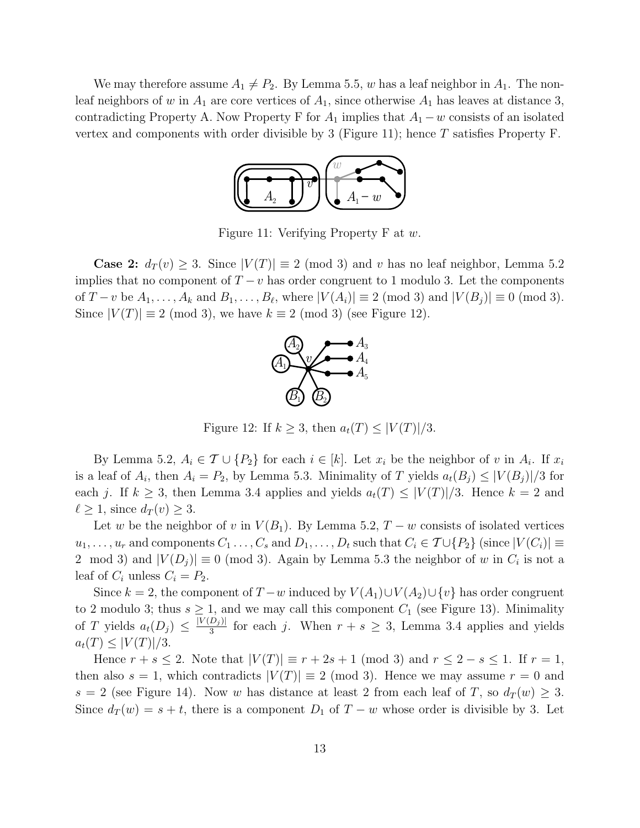We may therefore assume  $A_1 \neq P_2$ . By Lemma 5.5, w has a leaf neighbor in  $A_1$ . The nonleaf neighbors of w in  $A_1$  are core vertices of  $A_1$ , since otherwise  $A_1$  has leaves at distance 3, contradicting Property A. Now Property F for  $A_1$  implies that  $A_1 - w$  consists of an isolated vertex and components with order divisible by 3 (Figure 11); hence  $T$  satisfies Property F.



Figure 11: Verifying Property F at w.

**Case 2:**  $d_T(v) \geq 3$ . Since  $|V(T)| \equiv 2 \pmod{3}$  and v has no leaf neighbor, Lemma 5.2 implies that no component of  $T - v$  has order congruent to 1 modulo 3. Let the components of  $T-v$  be  $A_1, \ldots, A_k$  and  $B_1, \ldots, B_\ell$ , where  $|V(A_i)| \equiv 2 \pmod{3}$  and  $|V(B_j)| \equiv 0 \pmod{3}$ . Since  $|V(T)| \equiv 2 \pmod{3}$ , we have  $k \equiv 2 \pmod{3}$  (see Figure 12).



Figure 12: If  $k \geq 3$ , then  $a_t(T) \leq |V(T)|/3$ .

By Lemma 5.2,  $A_i \in \mathcal{T} \cup \{P_2\}$  for each  $i \in [k]$ . Let  $x_i$  be the neighbor of v in  $A_i$ . If  $x_i$ is a leaf of  $A_i$ , then  $A_i = P_2$ , by Lemma 5.3. Minimality of T yields  $a_t(B_j) \leq |V(B_j)|/3$  for each j. If  $k \geq 3$ , then Lemma 3.4 applies and yields  $a_t(T) \leq |V(T)|/3$ . Hence  $k = 2$  and  $\ell \geq 1$ , since  $d_T (v) \geq 3$ .

Let w be the neighbor of v in  $V(B_1)$ . By Lemma 5.2,  $T - w$  consists of isolated vertices  $u_1, \ldots, u_r$  and components  $C_1 \ldots, C_s$  and  $D_1, \ldots, D_t$  such that  $C_i \in \mathcal{T} \cup \{P_2\}$  (since  $|V(C_i)| \equiv$ 2 mod 3) and  $|V(D_j)| \equiv 0 \pmod{3}$ . Again by Lemma 5.3 the neighbor of w in  $C_i$  is not a leaf of  $C_i$  unless  $C_i = P_2$ .

Since k = 2, the component of  $T-w$  induced by  $V(A_1) \cup V(A_2) \cup \{v\}$  has order congruent to 2 modulo 3; thus  $s \geq 1$ , and we may call this component  $C_1$  (see Figure 13). Minimality of T yields  $a_t(D_j) \leq \frac{|V(D_j)|}{3}$  $\frac{D_j j}{3}$  for each j. When  $r + s \geq 3$ , Lemma 3.4 applies and yields  $a_t(T) \leq |V(T)|/3.$ 

Hence  $r + s \leq 2$ . Note that  $|V(T)| \equiv r + 2s + 1 \pmod{3}$  and  $r \leq 2 - s \leq 1$ . If  $r = 1$ , then also  $s = 1$ , which contradicts  $|V(T)| \equiv 2 \pmod{3}$ . Hence we may assume  $r = 0$  and s = 2 (see Figure 14). Now w has distance at least 2 from each leaf of T, so  $d_T(w) \geq 3$ . Since  $d_T(w) = s + t$ , there is a component  $D_1$  of  $T - w$  whose order is divisible by 3. Let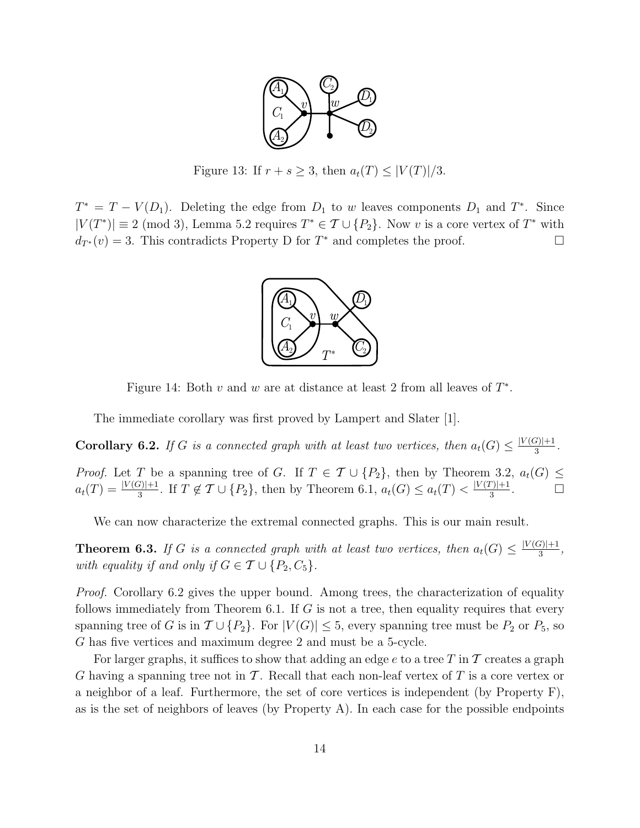

Figure 13: If  $r + s \geq 3$ , then  $a_t(T) \leq |V(T)|/3$ .

 $T^* = T - V(D_1)$ . Deleting the edge from  $D_1$  to w leaves components  $D_1$  and  $T^*$ . Since  $|V(T^*)| \equiv 2 \pmod{3}$ , Lemma 5.2 requires  $T^* \in \mathcal{T} \cup \{P_2\}$ . Now v is a core vertex of  $T^*$  with  $d_{T^*}(v) = 3$ . This contradicts Property D for  $T^*$  and completes the proof.



Figure 14: Both  $v$  and  $w$  are at distance at least 2 from all leaves of  $T^*$ .

The immediate corollary was first proved by Lampert and Slater [1].

**Corollary 6.2.** If G is a connected graph with at least two vertices, then  $a_t(G) \leq \frac{|V(G)|+1}{3}$  $\frac{|i|+1}{3}$ .

*Proof.* Let T be a spanning tree of G. If  $T \in \mathcal{T} \cup \{P_2\}$ , then by Theorem 3.2,  $a_t(G) \leq$  $a_t(T) = \frac{|V(G)|+1}{3}$ . If  $T \notin \mathcal{T} \cup \{P_2\}$ , then by Theorem 6.1,  $a_t(G) \le a_t(T) < \frac{|V(T)|+1}{3}$  $\frac{1}{3}$ .

We can now characterize the extremal connected graphs. This is our main result.

**Theorem 6.3.** If G is a connected graph with at least two vertices, then  $a_t(G) \leq \frac{|V(G)|+1}{3}$  $\frac{|i|+1}{3},$ with equality if and only if  $G \in \mathcal{T} \cup \{P_2, C_5\}.$ 

*Proof.* Corollary 6.2 gives the upper bound. Among trees, the characterization of equality follows immediately from Theorem 6.1. If  $G$  is not a tree, then equality requires that every spanning tree of G is in  $\mathcal{T} \cup \{P_2\}$ . For  $|V(G)| \leq 5$ , every spanning tree must be  $P_2$  or  $P_5$ , so G has five vertices and maximum degree 2 and must be a 5-cycle.

For larger graphs, it suffices to show that adding an edge e to a tree T in T creates a graph G having a spanning tree not in  $\mathcal T$ . Recall that each non-leaf vertex of  $T$  is a core vertex or a neighbor of a leaf. Furthermore, the set of core vertices is independent (by Property F), as is the set of neighbors of leaves (by Property A). In each case for the possible endpoints